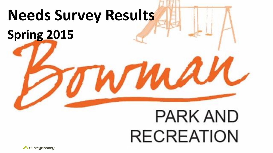

# **RECREATION**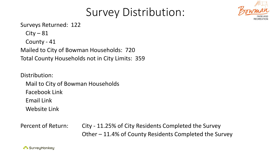

# Survey Distribution:

Surveys Returned: 122

 $City - 81$ 

County - 41

Mailed to City of Bowman Households: 720 Total County Households not in City Limits: 359

Distribution: Mail to City of Bowman Households Facebook Link Email Link Website Link

Percent of Return: City - 11.25% of City Residents Completed the Survey Other – 11.4% of County Residents Completed the Survey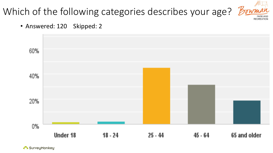# Which of the following categories describes your age? Bowman





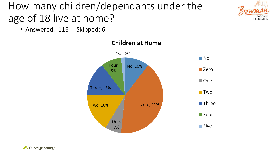# How many children/dependants under the age of 18 live at home?



• Answered: 116 Skipped: 6



#### **Children at Home**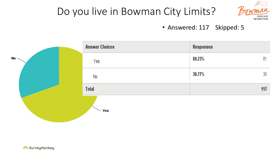

## Do you live in Bowman City Limits?

• Answered: 117 Skipped: 5

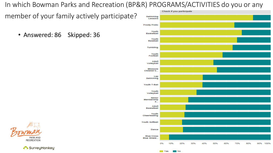In which Bowman Parks and Recreation (BP&R) PROGRAMS/ACTIVITIES do you or any

member of your family actively participate?

• Answered: 86 Skipped: 36



**NYAS** 

No



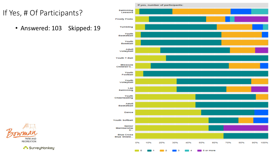#### If Yes, # Of Participants?

• Answered: 103 Skipped: 19



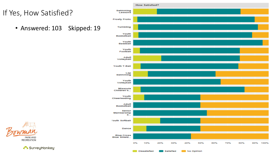#### If Yes, How Satisfied?

• Answered: 103 Skipped: 19



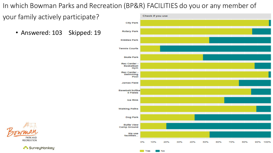In which Bowman Parks and Recreation (BP&R) FACILITIES do you or any member of

your family actively participate?

• Answered: 103 Skipped: 19





SurveyMonkey

No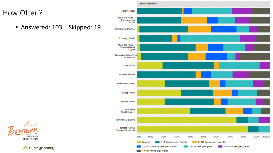#### How Often?

• Answered: 103 Skipped: 19



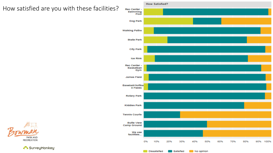#### How satisfied are you with these facilities?



No opinion

**Dissatisfied** 

Satisfied

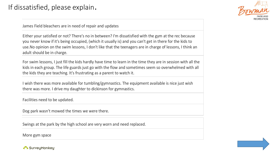

James Field bleachers are in need of repair and updates

Either your satisfied or not? There's no in between? I'm dissatisfied with the gym at the rec because you never know if it's being occupied, (which it usually is) and you can't get in there for the kids to use.No opinion on the swim lessons, I don't like that the teenagers are in charge of lessons, I think an adult should be in charge.

For swim lessons, I just fill the kids hardly have time to learn in the time they are in session with all the kids in each group. The life guards just go with the flow and sometimes seem so overwhelmed with all the kids they are teaching. It's frustrating as a parent to watch it.

I wish there was more available for tumbling/gymnastics. The equipment available is nice just wish there was more. I drive my daughter to dickinson for gymnastics.

Facilities need to be updated.

Dog park wasn't mowed the times we were there.

Swings at the park by the high school are very worn and need replaced.

More gym space

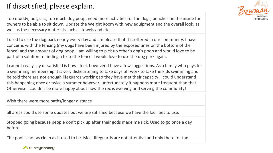#### If dissatisfied, please explain.



Too muddy, no grass, too much dog poop, need more activities for the dogs, benches on the inside for owners to be able to sit down. Update the Weight Room with new equipment and the overall look, as well as the necessary materials such as towels and etc.

I used to use the dog park nearly every day and am please that it is offered in our community. I have concerns with the fencing (my dogs have been injured by the exposed tines on the bottom of the fence) and the amount of dog poop. I am willing to pick up other's dog's poop and would love to be part of a solution to finding a fix to the fence. I would love to use the dog park again.

I cannot really say dissatisfied is how I feel, however, I have a few suggestions. As a family who pays for a swimming membership it is very disheartening to take days off work to take the kids swimming and be told there are not enough lifeguards working so they have met their capacity. I could understand this happening once or twice a summer however, unfortunately it happens more frequent than that. Otherwise I couldn't be more happy about how the rec is evolving and serving the community!

Wish there were more paths/longer distance

all areas could use some updates but we are satisfied because we have the facilities to use.

Stopped going because people don't pick up after their gods made me sick. Used to go once a day before.

The pool is not as clean as it used to be. Most lifeguards are not attentive and only there for tan.

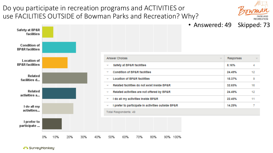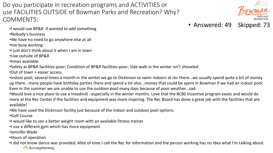Do you participate in recreation programs and ACTIVITIES or use FACILITIES OUTSIDE of Bowman Parks and Recreation? Why? COMMENTS:

- •I would use BP&R if wanted to add something
- •Nobody's business
- •We have no need to go anywhere else at all
- •too busy working
- •I just don't think about it when I am in town
- •Live outside of BP&R
- •times available
- •Safety at BP&R facilities-poor; Condition of BP&R facilities-poor; Side walk in the winter isn't shoveled
- •Out of town = easier access
- •indoor pool, several times a month in the winter we go to Dickinson to swim indoors at rec there...we usually spend quite a bit of money up there...many people have birthday parties there and spend a lot also...money that could be spent in Bowman if we had an indoor pool. Even in the summer we are unable to use the outdoor pool many days because of poor weather...sad.
- •Would love a nice place to use a treadmill especially in the winter months. Love that the BCBS Incentive program exists and would do more at the Rec Center if the facilities and equipment was more inspiring. The Rec Board has done a great job with the facilities that are available!
- •We have used the Dickinson facility just because of the indoor and outdoor pool options.
- •Golf Course
- •I would like to see a better weight room with an available fitness trainer.
- •I use a different gym which has more equipment
- •Jennifer Wade
- •Hours of operation
- •I did not know dance was provided. Allot of time I call the Rec for information and the person working has no idea what I'm talking about. SurveyMonkey

• Answered: 49 Skipped: 73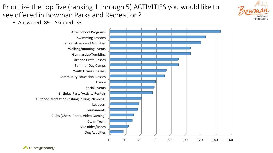Prioritize the top five (ranking 1 through 5) ACTIVITIES you would like to see offered in Bowman Parks and Recreation?



• Answered: 89 Skipped: 33

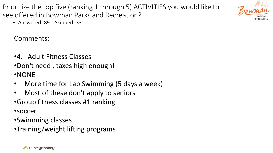Prioritize the top five (ranking 1 through 5) ACTIVITIES you would like to see offered in Bowman Parks and Recreation?



• Answered: 89 Skipped: 33

Comments:

- •4. Adult Fitness Classes
- •Don't need , taxes high enough! •NONE
- More time for Lap Swimming (5 days a week)
- Most of these don't apply to seniors
- •Group fitness classes #1 ranking

•soccer

- •Swimming classes
- •Training/weight lifting programs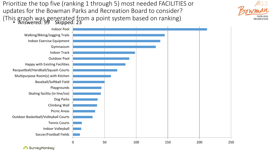Prioritize the top five (ranking 1 through 5) most needed FACILITIES or updates for the Bowman Parks and Recreation Board to consider? (This graph was generated from a point system based on ranking) • Answered: 99 Skipped: 23



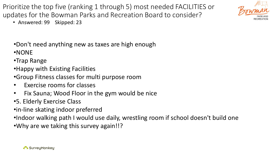Prioritize the top five (ranking 1 through 5) most needed FACILITIES or updates for the Bowman Parks and Recreation Board to consider?



- Answered: 99 Skipped: 23
- •Don't need anything new as taxes are high enough
- •NONE
- •Trap Range
- •Happy with Existing Facilities
- •Group Fitness classes for multi purpose room
- Exercise rooms for classes
- Fix Sauna; Wood Floor in the gym would be nice
- •5. Elderly Exercise Class
- •in-line skating indoor preferred
- •Indoor walking path I would use daily, wrestling room if school doesn't build one
- •Why are we taking this survey again!!?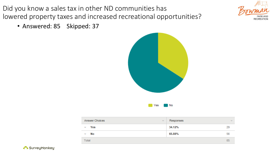Did you know a sales tax in other ND communities has lowered property taxes and increased recreational opportunities?



• Answered: 85 Skipped: 37



| <b>Answer Choices</b><br>$\overline{\phantom{a}}$ | Responses | $\overline{\phantom{a}}$ |
|---------------------------------------------------|-----------|--------------------------|
| Yes<br>₩                                          | 34.12%    | 29                       |
| No<br>▼                                           | 65.88%    | 56                       |
| Total                                             |           | 85                       |

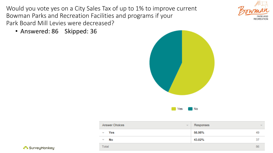Would you vote yes on a City Sales Tax of up to 1% to improve current Bowman Parks and Recreation Facilities and programs if your Park Board Mill Levies were decreased?

• Answered: 86 Skipped: 36





| <b>Answer Choices</b><br>$\overline{\phantom{a}}$ | Responses | $\overline{\phantom{m}}$ |
|---------------------------------------------------|-----------|--------------------------|
| Yes<br>$\overline{\phantom{a}}$                   | 56.98%    | 49                       |
| No<br>▼                                           | 43.02%    | 37                       |
| Total                                             |           | 86                       |

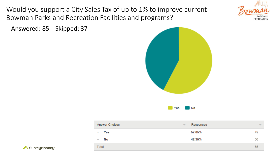Would you support a City Sales Tax of up to 1% to improve current Bowman Parks and Recreation Facilities and programs?



Answered: 85 Skipped: 37



| <b>Answer Choices</b>    | Responses                |
|--------------------------|--------------------------|
| $\overline{\mathcal{N}}$ | $\overline{\phantom{m}}$ |
| Yes                      | 57.65%                   |
| ▼                        | 49                       |
| No                       | 42.35%                   |
| $\overline{\phantom{a}}$ | 36                       |
| Total                    | 85                       |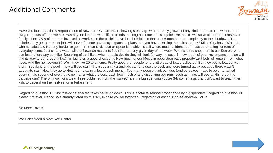#### Additional Comments



Have you looked at the size/population of Bowman? We are NOT showing steady growth, or really growth of any kind, not matter how much the "Major" spouts off that we are. Has anyone kept up with oilfield trends, as long as some in this city believe that oil will solve all our problems? Our family alone, 75% of the man involved as workers in the oil field have lost their jobs in that past 6 months-due completely to the shutdown. The salaries they get at present jobs will never finance any fancy expansion plans that you have. Raising the sales tax 1%? Miles City has a Walmart with no sales tax. Not any harder to get there than Dickinson or Spearfish, which is still where most residents do "mass purchasing" or tons of everyday items. Just sit and watch all the Bowman residents flock in there any given day of the week. What's left to shop here is our Seniors-who can least afford any tax hike. Speaking of tax hikes, when people decide they will look for ways to save \$, how much of your rec expansion plan will find its way to our property tax? I'm biting on a good check of it. How much of our Mexican population pays property tax? Lots of renters, from what I see. And the homeowners? Well, they live 20 to a home. Pretty good # of people for the little dab of taxes collected. But they pod is loaded with them. Speaking of the pool... how will you staff it? Last year my grandkids came to use the pool, and were turned away because there wasn't adequate staff. Now they go to Hettinger to swim a few X each month. Too many people think our kids (and ourselves) have to be entertained every single second of every day, no matter what the cost. Last, how much of any dissenting opinions, such as mine, will see anything but the garbage can? The only opinions we will see published from the "survey" are the big spending yuppie 3-b somethings that don't want to teach their kids to depend on themselves for entertainment.

Regarding question 10: Not true-once enacted taxes never go down. This is a total falsehood propaganda by big spenders. Regarding question 11: Never, not ever. Period. We already voted on this 3-1, in case you've forgotten. Regarding question 12: See above-NEVER.

No More Taxes!

We Don't Need a New Rec Center